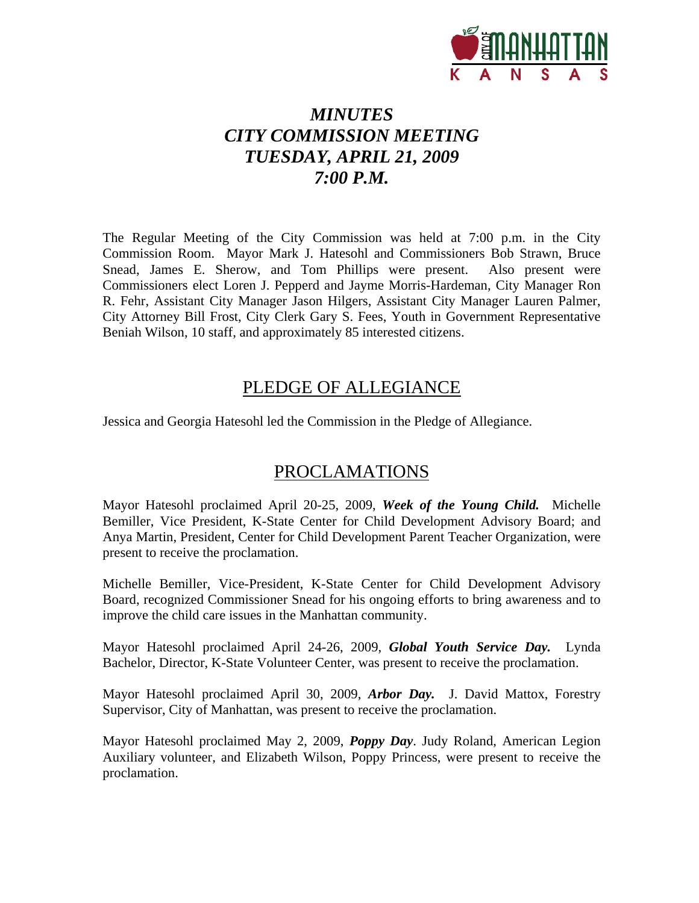

# *MINUTES CITY COMMISSION MEETING TUESDAY, APRIL 21, 2009 7:00 P.M.*

The Regular Meeting of the City Commission was held at 7:00 p.m. in the City Commission Room. Mayor Mark J. Hatesohl and Commissioners Bob Strawn, Bruce Snead, James E. Sherow, and Tom Phillips were present. Also present were Commissioners elect Loren J. Pepperd and Jayme Morris-Hardeman, City Manager Ron R. Fehr, Assistant City Manager Jason Hilgers, Assistant City Manager Lauren Palmer, City Attorney Bill Frost, City Clerk Gary S. Fees, Youth in Government Representative Beniah Wilson, 10 staff, and approximately 85 interested citizens.

### PLEDGE OF ALLEGIANCE

Jessica and Georgia Hatesohl led the Commission in the Pledge of Allegiance.

### PROCLAMATIONS

Mayor Hatesohl proclaimed April 20-25, 2009, *Week of the Young Child.* Michelle Bemiller, Vice President, K-State Center for Child Development Advisory Board; and Anya Martin, President, Center for Child Development Parent Teacher Organization, were present to receive the proclamation.

Michelle Bemiller, Vice-President, K-State Center for Child Development Advisory Board, recognized Commissioner Snead for his ongoing efforts to bring awareness and to improve the child care issues in the Manhattan community.

Mayor Hatesohl proclaimed April 24-26, 2009, *Global Youth Service Day.* Lynda Bachelor, Director, K-State Volunteer Center, was present to receive the proclamation.

Mayor Hatesohl proclaimed April 30, 2009, *Arbor Day.* J. David Mattox, Forestry Supervisor, City of Manhattan, was present to receive the proclamation.

Mayor Hatesohl proclaimed May 2, 2009, *Poppy Day*. Judy Roland, American Legion Auxiliary volunteer, and Elizabeth Wilson, Poppy Princess, were present to receive the proclamation.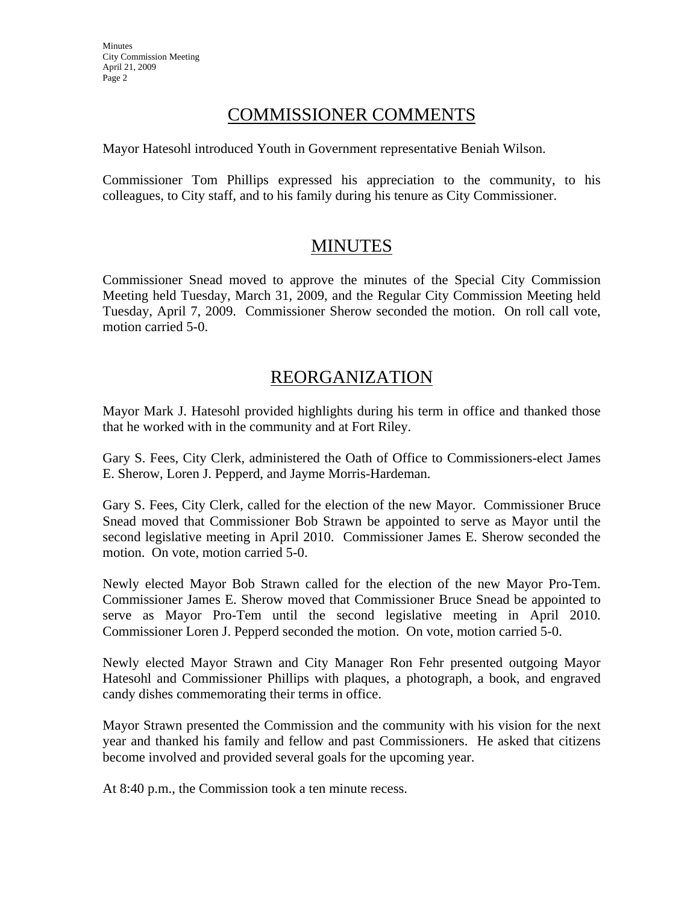### COMMISSIONER COMMENTS

Mayor Hatesohl introduced Youth in Government representative Beniah Wilson.

Commissioner Tom Phillips expressed his appreciation to the community, to his colleagues, to City staff, and to his family during his tenure as City Commissioner.

# MINUTES

Commissioner Snead moved to approve the minutes of the Special City Commission Meeting held Tuesday, March 31, 2009, and the Regular City Commission Meeting held Tuesday, April 7, 2009. Commissioner Sherow seconded the motion. On roll call vote, motion carried 5-0.

# REORGANIZATION

Mayor Mark J. Hatesohl provided highlights during his term in office and thanked those that he worked with in the community and at Fort Riley.

Gary S. Fees, City Clerk, administered the Oath of Office to Commissioners-elect James E. Sherow, Loren J. Pepperd, and Jayme Morris-Hardeman.

Gary S. Fees, City Clerk, called for the election of the new Mayor. Commissioner Bruce Snead moved that Commissioner Bob Strawn be appointed to serve as Mayor until the second legislative meeting in April 2010. Commissioner James E. Sherow seconded the motion. On vote, motion carried 5-0.

Newly elected Mayor Bob Strawn called for the election of the new Mayor Pro-Tem. Commissioner James E. Sherow moved that Commissioner Bruce Snead be appointed to serve as Mayor Pro-Tem until the second legislative meeting in April 2010. Commissioner Loren J. Pepperd seconded the motion. On vote, motion carried 5-0.

Newly elected Mayor Strawn and City Manager Ron Fehr presented outgoing Mayor Hatesohl and Commissioner Phillips with plaques, a photograph, a book, and engraved candy dishes commemorating their terms in office.

Mayor Strawn presented the Commission and the community with his vision for the next year and thanked his family and fellow and past Commissioners. He asked that citizens become involved and provided several goals for the upcoming year.

At 8:40 p.m., the Commission took a ten minute recess.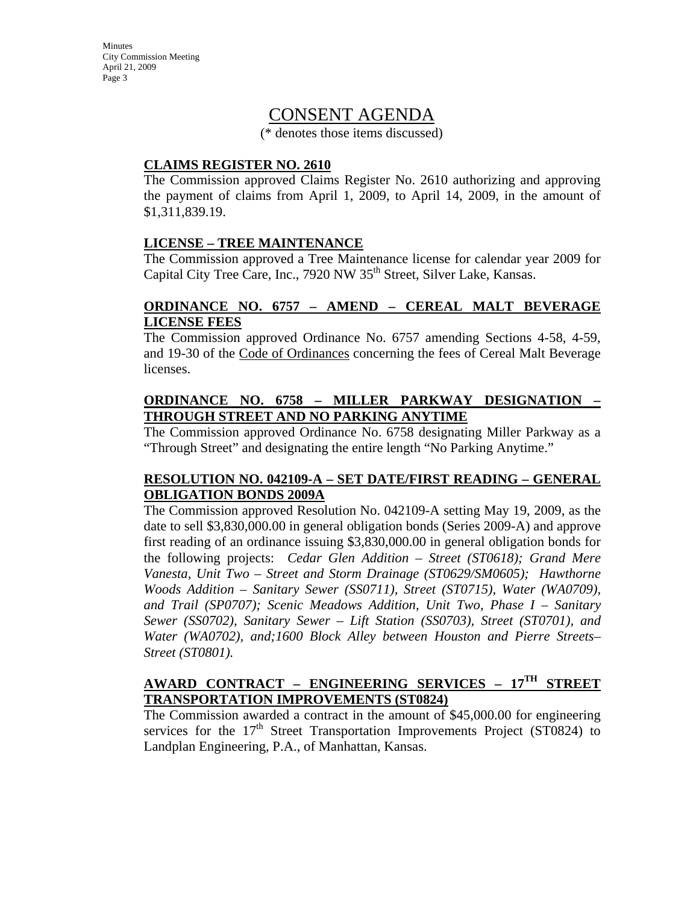### CONSENT AGENDA

(\* denotes those items discussed)

#### **CLAIMS REGISTER NO. 2610**

The Commission approved Claims Register No. 2610 authorizing and approving the payment of claims from April 1, 2009, to April 14, 2009, in the amount of \$1,311,839.19.

#### **LICENSE – TREE MAINTENANCE**

The Commission approved a Tree Maintenance license for calendar year 2009 for Capital City Tree Care, Inc., 7920 NW 35<sup>th</sup> Street, Silver Lake, Kansas.

#### **ORDINANCE NO. 6757 – AMEND – CEREAL MALT BEVERAGE LICENSE FEES**

The Commission approved Ordinance No. 6757 amending Sections 4-58, 4-59, and 19-30 of the Code of Ordinances concerning the fees of Cereal Malt Beverage licenses.

#### **ORDINANCE NO. 6758 – MILLER PARKWAY DESIGNATION – THROUGH STREET AND NO PARKING ANYTIME**

The Commission approved Ordinance No. 6758 designating Miller Parkway as a "Through Street" and designating the entire length "No Parking Anytime."

#### **RESOLUTION NO. 042109-A – SET DATE/FIRST READING – GENERAL OBLIGATION BONDS 2009A**

The Commission approved Resolution No. 042109-A setting May 19, 2009, as the date to sell \$3,830,000.00 in general obligation bonds (Series 2009-A) and approve first reading of an ordinance issuing \$3,830,000.00 in general obligation bonds for the following projects: *Cedar Glen Addition – Street (ST0618); Grand Mere Vanesta, Unit Two – Street and Storm Drainage (ST0629/SM0605); Hawthorne Woods Addition – Sanitary Sewer (SS0711), Street (ST0715), Water (WA0709), and Trail (SP0707); Scenic Meadows Addition, Unit Two, Phase I – Sanitary Sewer (SS0702), Sanitary Sewer – Lift Station (SS0703), Street (ST0701), and Water (WA0702), and;1600 Block Alley between Houston and Pierre Streets– Street (ST0801).* 

### **AWARD CONTRACT – ENGINEERING SERVICES – 17TH STREET TRANSPORTATION IMPROVEMENTS (ST0824)**

The Commission awarded a contract in the amount of \$45,000.00 for engineering services for the  $17<sup>th</sup>$  Street Transportation Improvements Project (ST0824) to Landplan Engineering, P.A., of Manhattan, Kansas.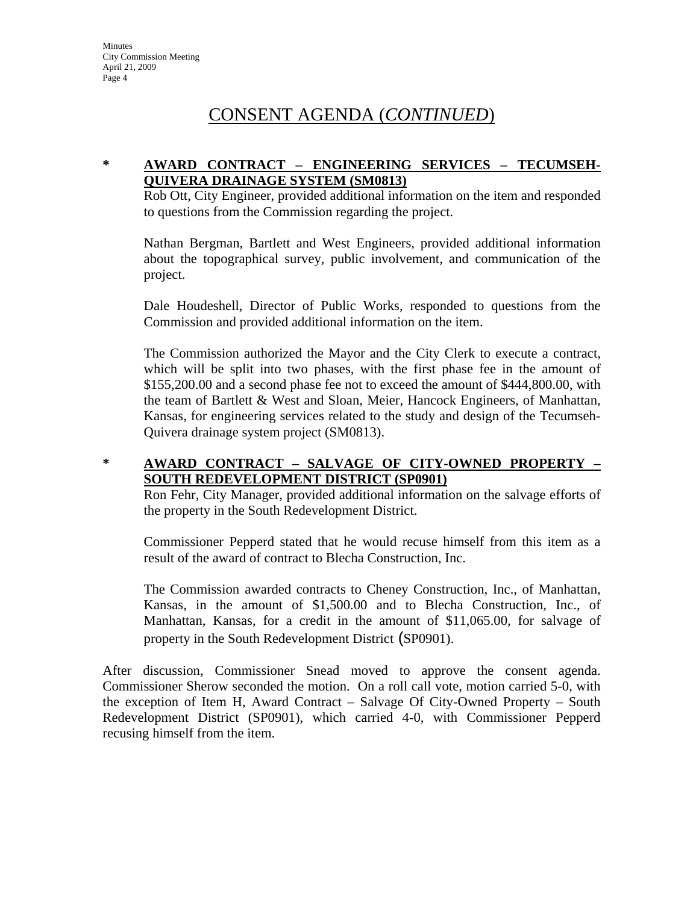# CONSENT AGENDA (*CONTINUED*)

#### **\* AWARD CONTRACT – ENGINEERING SERVICES – TECUMSEH-QUIVERA DRAINAGE SYSTEM (SM0813)**

Rob Ott, City Engineer, provided additional information on the item and responded to questions from the Commission regarding the project.

Nathan Bergman, Bartlett and West Engineers, provided additional information about the topographical survey, public involvement, and communication of the project.

Dale Houdeshell, Director of Public Works, responded to questions from the Commission and provided additional information on the item.

The Commission authorized the Mayor and the City Clerk to execute a contract, which will be split into two phases, with the first phase fee in the amount of \$155,200.00 and a second phase fee not to exceed the amount of \$444,800.00, with the team of Bartlett & West and Sloan, Meier, Hancock Engineers, of Manhattan, Kansas, for engineering services related to the study and design of the Tecumseh-Quivera drainage system project (SM0813).

### **\* AWARD CONTRACT – SALVAGE OF CITY-OWNED PROPERTY – SOUTH REDEVELOPMENT DISTRICT (SP0901)**

Ron Fehr, City Manager, provided additional information on the salvage efforts of the property in the South Redevelopment District.

Commissioner Pepperd stated that he would recuse himself from this item as a result of the award of contract to Blecha Construction, Inc.

The Commission awarded contracts to Cheney Construction, Inc., of Manhattan, Kansas, in the amount of \$1,500.00 and to Blecha Construction, Inc., of Manhattan, Kansas, for a credit in the amount of \$11,065.00, for salvage of property in the South Redevelopment District (SP0901).

After discussion, Commissioner Snead moved to approve the consent agenda. Commissioner Sherow seconded the motion. On a roll call vote, motion carried 5-0, with the exception of Item H, Award Contract – Salvage Of City-Owned Property – South Redevelopment District (SP0901), which carried 4-0, with Commissioner Pepperd recusing himself from the item.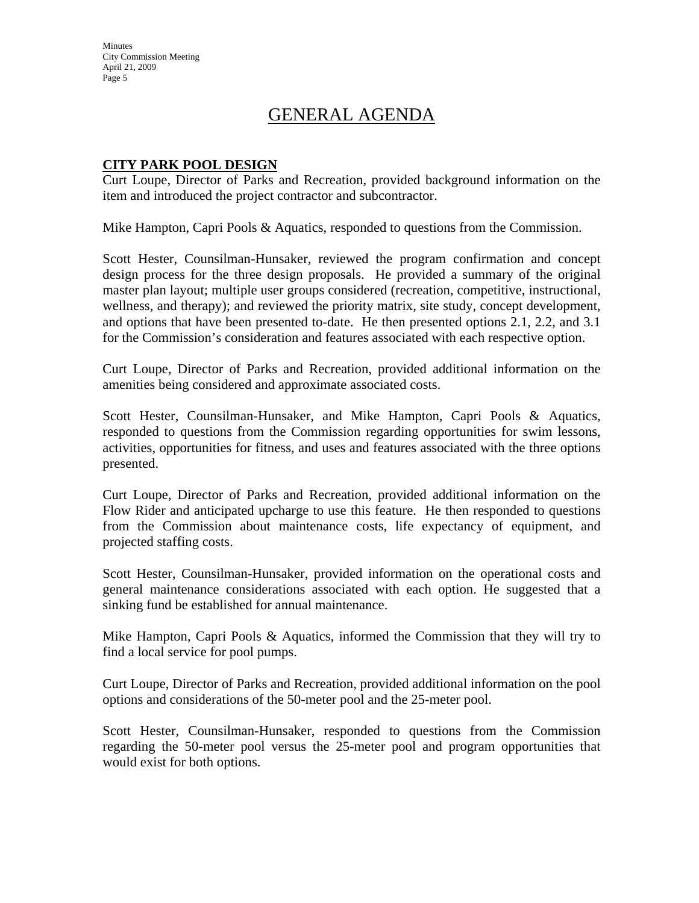**Minutes** City Commission Meeting April 21, 2009 Page 5

# GENERAL AGENDA

#### **CITY PARK POOL DESIGN**

Curt Loupe, Director of Parks and Recreation, provided background information on the item and introduced the project contractor and subcontractor.

Mike Hampton, Capri Pools & Aquatics, responded to questions from the Commission.

Scott Hester, Counsilman-Hunsaker, reviewed the program confirmation and concept design process for the three design proposals. He provided a summary of the original master plan layout; multiple user groups considered (recreation, competitive, instructional, wellness, and therapy); and reviewed the priority matrix, site study, concept development, and options that have been presented to-date. He then presented options 2.1, 2.2, and 3.1 for the Commission's consideration and features associated with each respective option.

Curt Loupe, Director of Parks and Recreation, provided additional information on the amenities being considered and approximate associated costs.

Scott Hester, Counsilman-Hunsaker, and Mike Hampton, Capri Pools & Aquatics, responded to questions from the Commission regarding opportunities for swim lessons, activities, opportunities for fitness, and uses and features associated with the three options presented.

Curt Loupe, Director of Parks and Recreation, provided additional information on the Flow Rider and anticipated upcharge to use this feature. He then responded to questions from the Commission about maintenance costs, life expectancy of equipment, and projected staffing costs.

Scott Hester, Counsilman-Hunsaker, provided information on the operational costs and general maintenance considerations associated with each option. He suggested that a sinking fund be established for annual maintenance.

Mike Hampton, Capri Pools & Aquatics, informed the Commission that they will try to find a local service for pool pumps.

Curt Loupe, Director of Parks and Recreation, provided additional information on the pool options and considerations of the 50-meter pool and the 25-meter pool.

Scott Hester, Counsilman-Hunsaker, responded to questions from the Commission regarding the 50-meter pool versus the 25-meter pool and program opportunities that would exist for both options.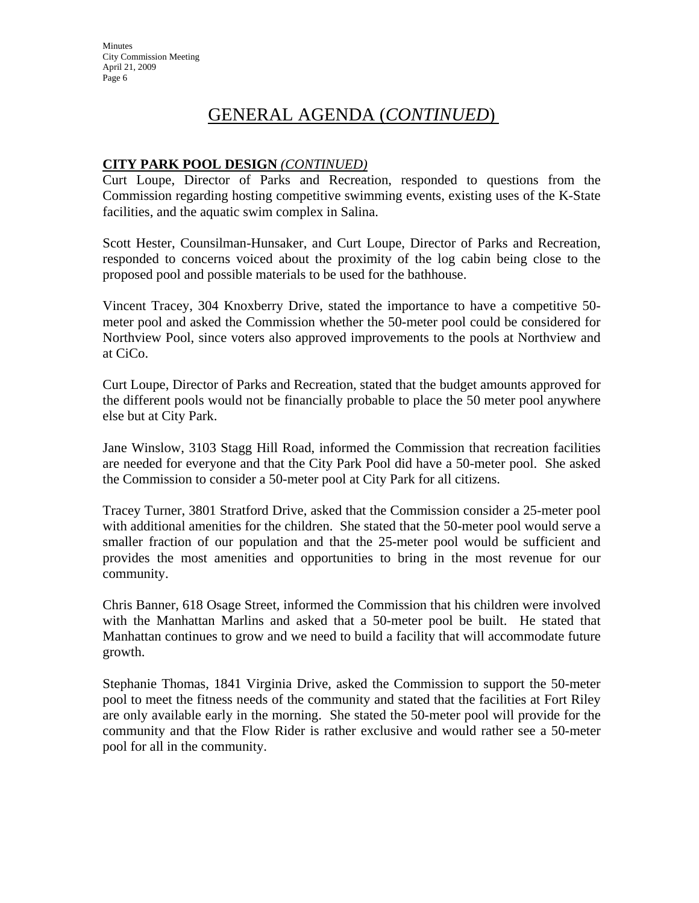### **CITY PARK POOL DESIGN** *(CONTINUED)*

Curt Loupe, Director of Parks and Recreation, responded to questions from the Commission regarding hosting competitive swimming events, existing uses of the K-State facilities, and the aquatic swim complex in Salina.

Scott Hester, Counsilman-Hunsaker, and Curt Loupe, Director of Parks and Recreation, responded to concerns voiced about the proximity of the log cabin being close to the proposed pool and possible materials to be used for the bathhouse.

Vincent Tracey, 304 Knoxberry Drive, stated the importance to have a competitive 50 meter pool and asked the Commission whether the 50-meter pool could be considered for Northview Pool, since voters also approved improvements to the pools at Northview and at CiCo.

Curt Loupe, Director of Parks and Recreation, stated that the budget amounts approved for the different pools would not be financially probable to place the 50 meter pool anywhere else but at City Park.

Jane Winslow, 3103 Stagg Hill Road, informed the Commission that recreation facilities are needed for everyone and that the City Park Pool did have a 50-meter pool. She asked the Commission to consider a 50-meter pool at City Park for all citizens.

Tracey Turner, 3801 Stratford Drive, asked that the Commission consider a 25-meter pool with additional amenities for the children. She stated that the 50-meter pool would serve a smaller fraction of our population and that the 25-meter pool would be sufficient and provides the most amenities and opportunities to bring in the most revenue for our community.

Chris Banner, 618 Osage Street, informed the Commission that his children were involved with the Manhattan Marlins and asked that a 50-meter pool be built. He stated that Manhattan continues to grow and we need to build a facility that will accommodate future growth.

Stephanie Thomas, 1841 Virginia Drive, asked the Commission to support the 50-meter pool to meet the fitness needs of the community and stated that the facilities at Fort Riley are only available early in the morning. She stated the 50-meter pool will provide for the community and that the Flow Rider is rather exclusive and would rather see a 50-meter pool for all in the community.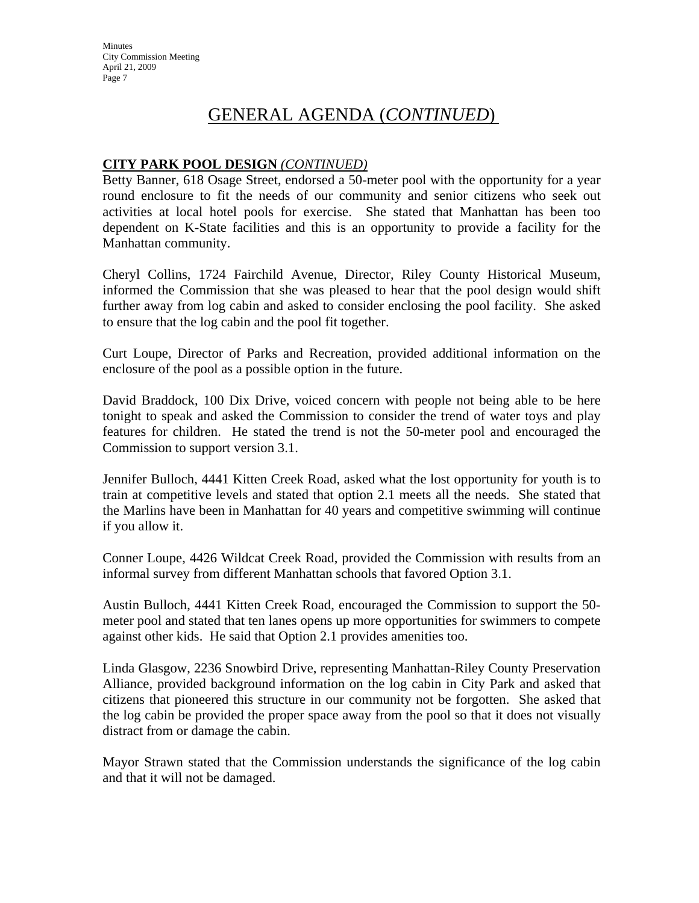### **CITY PARK POOL DESIGN** *(CONTINUED)*

Betty Banner, 618 Osage Street, endorsed a 50-meter pool with the opportunity for a year round enclosure to fit the needs of our community and senior citizens who seek out activities at local hotel pools for exercise. She stated that Manhattan has been too dependent on K-State facilities and this is an opportunity to provide a facility for the Manhattan community.

Cheryl Collins, 1724 Fairchild Avenue, Director, Riley County Historical Museum, informed the Commission that she was pleased to hear that the pool design would shift further away from log cabin and asked to consider enclosing the pool facility. She asked to ensure that the log cabin and the pool fit together.

Curt Loupe, Director of Parks and Recreation, provided additional information on the enclosure of the pool as a possible option in the future.

David Braddock, 100 Dix Drive, voiced concern with people not being able to be here tonight to speak and asked the Commission to consider the trend of water toys and play features for children. He stated the trend is not the 50-meter pool and encouraged the Commission to support version 3.1.

Jennifer Bulloch, 4441 Kitten Creek Road, asked what the lost opportunity for youth is to train at competitive levels and stated that option 2.1 meets all the needs. She stated that the Marlins have been in Manhattan for 40 years and competitive swimming will continue if you allow it.

Conner Loupe, 4426 Wildcat Creek Road, provided the Commission with results from an informal survey from different Manhattan schools that favored Option 3.1.

Austin Bulloch, 4441 Kitten Creek Road, encouraged the Commission to support the 50 meter pool and stated that ten lanes opens up more opportunities for swimmers to compete against other kids. He said that Option 2.1 provides amenities too.

Linda Glasgow, 2236 Snowbird Drive, representing Manhattan-Riley County Preservation Alliance, provided background information on the log cabin in City Park and asked that citizens that pioneered this structure in our community not be forgotten. She asked that the log cabin be provided the proper space away from the pool so that it does not visually distract from or damage the cabin.

Mayor Strawn stated that the Commission understands the significance of the log cabin and that it will not be damaged.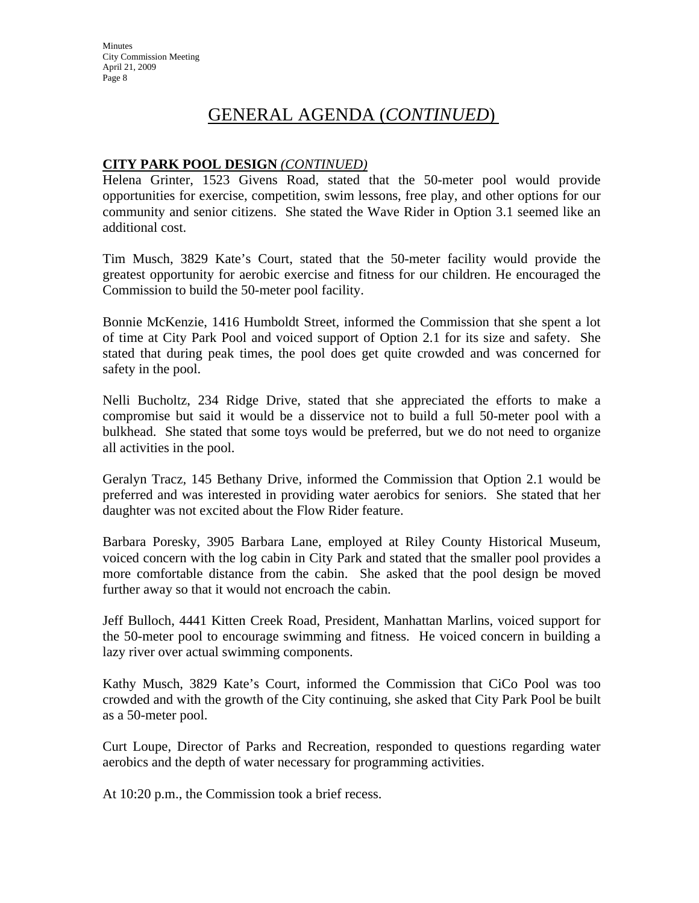#### **CITY PARK POOL DESIGN** *(CONTINUED)*

Helena Grinter, 1523 Givens Road, stated that the 50-meter pool would provide opportunities for exercise, competition, swim lessons, free play, and other options for our community and senior citizens. She stated the Wave Rider in Option 3.1 seemed like an additional cost.

Tim Musch, 3829 Kate's Court, stated that the 50-meter facility would provide the greatest opportunity for aerobic exercise and fitness for our children. He encouraged the Commission to build the 50-meter pool facility.

Bonnie McKenzie, 1416 Humboldt Street, informed the Commission that she spent a lot of time at City Park Pool and voiced support of Option 2.1 for its size and safety. She stated that during peak times, the pool does get quite crowded and was concerned for safety in the pool.

Nelli Bucholtz, 234 Ridge Drive, stated that she appreciated the efforts to make a compromise but said it would be a disservice not to build a full 50-meter pool with a bulkhead. She stated that some toys would be preferred, but we do not need to organize all activities in the pool.

Geralyn Tracz, 145 Bethany Drive, informed the Commission that Option 2.1 would be preferred and was interested in providing water aerobics for seniors. She stated that her daughter was not excited about the Flow Rider feature.

Barbara Poresky, 3905 Barbara Lane, employed at Riley County Historical Museum, voiced concern with the log cabin in City Park and stated that the smaller pool provides a more comfortable distance from the cabin. She asked that the pool design be moved further away so that it would not encroach the cabin.

Jeff Bulloch, 4441 Kitten Creek Road, President, Manhattan Marlins, voiced support for the 50-meter pool to encourage swimming and fitness. He voiced concern in building a lazy river over actual swimming components.

Kathy Musch, 3829 Kate's Court, informed the Commission that CiCo Pool was too crowded and with the growth of the City continuing, she asked that City Park Pool be built as a 50-meter pool.

Curt Loupe, Director of Parks and Recreation, responded to questions regarding water aerobics and the depth of water necessary for programming activities.

At 10:20 p.m., the Commission took a brief recess.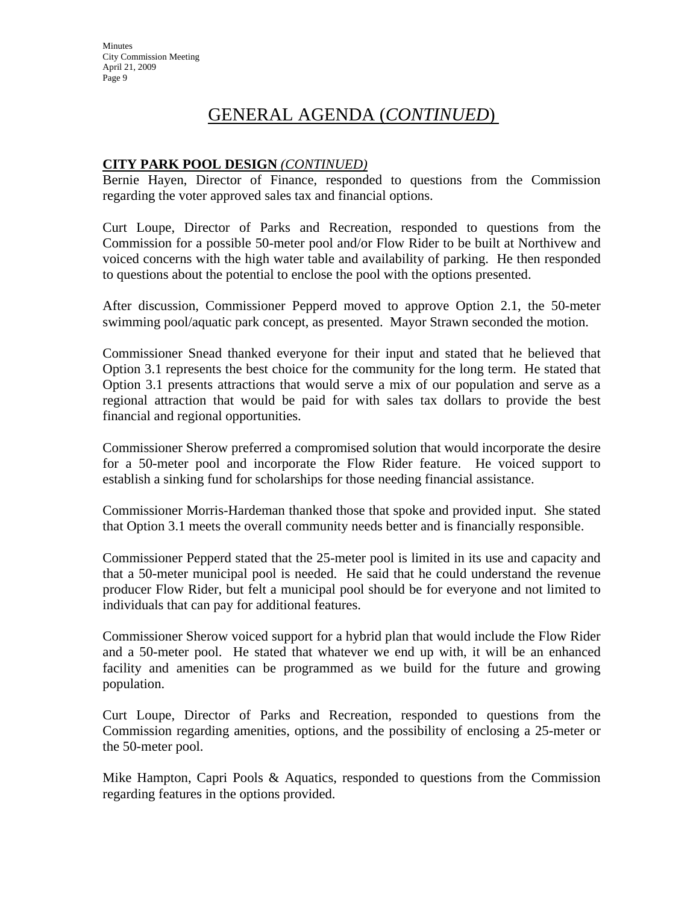### **CITY PARK POOL DESIGN** *(CONTINUED)*

Bernie Hayen, Director of Finance, responded to questions from the Commission regarding the voter approved sales tax and financial options.

Curt Loupe, Director of Parks and Recreation, responded to questions from the Commission for a possible 50-meter pool and/or Flow Rider to be built at Northivew and voiced concerns with the high water table and availability of parking. He then responded to questions about the potential to enclose the pool with the options presented.

After discussion, Commissioner Pepperd moved to approve Option 2.1, the 50-meter swimming pool/aquatic park concept, as presented. Mayor Strawn seconded the motion.

Commissioner Snead thanked everyone for their input and stated that he believed that Option 3.1 represents the best choice for the community for the long term. He stated that Option 3.1 presents attractions that would serve a mix of our population and serve as a regional attraction that would be paid for with sales tax dollars to provide the best financial and regional opportunities.

Commissioner Sherow preferred a compromised solution that would incorporate the desire for a 50-meter pool and incorporate the Flow Rider feature. He voiced support to establish a sinking fund for scholarships for those needing financial assistance.

Commissioner Morris-Hardeman thanked those that spoke and provided input. She stated that Option 3.1 meets the overall community needs better and is financially responsible.

Commissioner Pepperd stated that the 25-meter pool is limited in its use and capacity and that a 50-meter municipal pool is needed. He said that he could understand the revenue producer Flow Rider, but felt a municipal pool should be for everyone and not limited to individuals that can pay for additional features.

Commissioner Sherow voiced support for a hybrid plan that would include the Flow Rider and a 50-meter pool. He stated that whatever we end up with, it will be an enhanced facility and amenities can be programmed as we build for the future and growing population.

Curt Loupe, Director of Parks and Recreation, responded to questions from the Commission regarding amenities, options, and the possibility of enclosing a 25-meter or the 50-meter pool.

Mike Hampton, Capri Pools & Aquatics, responded to questions from the Commission regarding features in the options provided.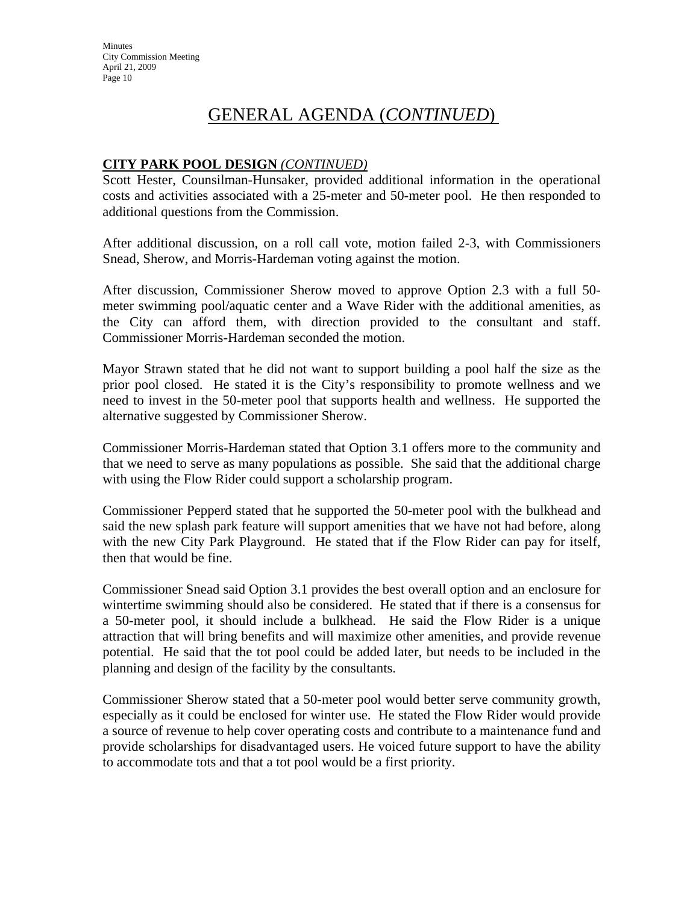### **CITY PARK POOL DESIGN** *(CONTINUED)*

Scott Hester, Counsilman-Hunsaker, provided additional information in the operational costs and activities associated with a 25-meter and 50-meter pool. He then responded to additional questions from the Commission.

After additional discussion, on a roll call vote, motion failed 2-3, with Commissioners Snead, Sherow, and Morris-Hardeman voting against the motion.

After discussion, Commissioner Sherow moved to approve Option 2.3 with a full 50 meter swimming pool/aquatic center and a Wave Rider with the additional amenities, as the City can afford them, with direction provided to the consultant and staff. Commissioner Morris-Hardeman seconded the motion.

Mayor Strawn stated that he did not want to support building a pool half the size as the prior pool closed. He stated it is the City's responsibility to promote wellness and we need to invest in the 50-meter pool that supports health and wellness. He supported the alternative suggested by Commissioner Sherow.

Commissioner Morris-Hardeman stated that Option 3.1 offers more to the community and that we need to serve as many populations as possible. She said that the additional charge with using the Flow Rider could support a scholarship program.

Commissioner Pepperd stated that he supported the 50-meter pool with the bulkhead and said the new splash park feature will support amenities that we have not had before, along with the new City Park Playground. He stated that if the Flow Rider can pay for itself, then that would be fine.

Commissioner Snead said Option 3.1 provides the best overall option and an enclosure for wintertime swimming should also be considered. He stated that if there is a consensus for a 50-meter pool, it should include a bulkhead. He said the Flow Rider is a unique attraction that will bring benefits and will maximize other amenities, and provide revenue potential. He said that the tot pool could be added later, but needs to be included in the planning and design of the facility by the consultants.

Commissioner Sherow stated that a 50-meter pool would better serve community growth, especially as it could be enclosed for winter use. He stated the Flow Rider would provide a source of revenue to help cover operating costs and contribute to a maintenance fund and provide scholarships for disadvantaged users. He voiced future support to have the ability to accommodate tots and that a tot pool would be a first priority.